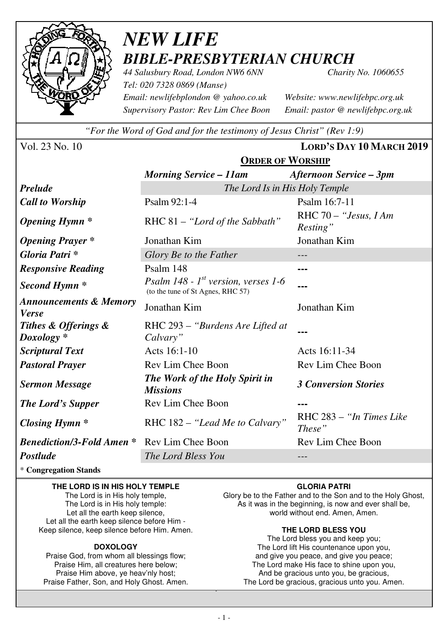

# *NEW LIFE BIBLE-PRESBYTERIAN CHURCH*

*44 Salusbury Road, London NW6 6NN Charity No. 1060655 Tel: 020 7328 0869 (Manse) Email: newlifebplondon @ yahoo.co.uk Website: www.newlifebpc.org.uk Supervisory Pastor: Rev Lim Chee Boon Email: pastor @ newlifebpc.org.uk* 

*"For the Word of God and for the testimony of Jesus Christ" (Rev 1:9)*

Vol. 23 No. 10 **LORD'S DAY 10 MARCH 2019**

|                                                   | <b>ORDER OF WORSHIP</b>                                                       |                                    |  |  |  |
|---------------------------------------------------|-------------------------------------------------------------------------------|------------------------------------|--|--|--|
|                                                   | <b>Morning Service - 11am</b>                                                 | <b>Afternoon Service – 3pm</b>     |  |  |  |
| <b>Prelude</b>                                    | The Lord Is in His Holy Temple                                                |                                    |  |  |  |
| <b>Call to Worship</b>                            | Psalm 92:1-4                                                                  | Psalm 16:7-11                      |  |  |  |
| <b>Opening Hymn</b> *                             | RHC 81 - "Lord of the Sabbath"                                                | RHC 70 - "Jesus, I Am<br>Resting"  |  |  |  |
| <b>Opening Prayer</b> *                           | Jonathan Kim                                                                  | Jonathan Kim                       |  |  |  |
| Gloria Patri *                                    | Glory Be to the Father                                                        | ---                                |  |  |  |
| <b>Responsive Reading</b>                         | Psalm 148                                                                     |                                    |  |  |  |
| Second Hymn <sup>*</sup>                          | Psalm 148 - $1^{st}$ version, verses 1-6<br>(to the tune of St Agnes, RHC 57) |                                    |  |  |  |
| <b>Announcements &amp; Memory</b><br><b>Verse</b> | Jonathan Kim                                                                  | Jonathan Kim                       |  |  |  |
| Tithes & Offerings &<br>$Doxology *$              | RHC 293 – "Burdens Are Lifted at<br>Calvary"                                  |                                    |  |  |  |
| <b>Scriptural Text</b>                            | Acts 16:1-10                                                                  | Acts 16:11-34                      |  |  |  |
| <b>Pastoral Prayer</b>                            | Rev Lim Chee Boon                                                             | Rev Lim Chee Boon                  |  |  |  |
| <b>Sermon Message</b>                             | <b>The Work of the Holy Spirit in</b><br><b>Missions</b>                      | <b>3 Conversion Stories</b>        |  |  |  |
| <b>The Lord's Supper</b>                          | <b>Rev Lim Chee Boon</b>                                                      |                                    |  |  |  |
| <b>Closing Hymn</b> *                             | RHC 182 – "Lead Me to Calvary"                                                | RHC 283 - "In Times Like<br>These" |  |  |  |
| <b>Benediction/3-Fold Amen *</b>                  | Rev Lim Chee Boon                                                             | Rev Lim Chee Boon                  |  |  |  |
| Postlude                                          | The Lord Bless You                                                            |                                    |  |  |  |

\* **Congregation Stands** 

#### **THE LORD IS IN HIS HOLY TEMPLE**

The Lord is in His holy temple, The Lord is in His holy temple: Let all the earth keep silence, Let all the earth keep silence before Him - Keep silence, keep silence before Him. Amen.

#### **DOXOLOGY**

Praise God, from whom all blessings flow; Praise Him, all creatures here below; Praise Him above, ye heav'nly host; Praise Father, Son, and Holy Ghost. Amen.

#### **GLORIA PATRI**

Glory be to the Father and to the Son and to the Holy Ghost, As it was in the beginning, is now and ever shall be, world without end. Amen, Amen.

#### **THE LORD BLESS YOU**

The Lord bless you and keep you; The Lord lift His countenance upon you, and give you peace, and give you peace; The Lord make His face to shine upon you, And be gracious unto you, be gracious, The Lord be gracious, gracious unto you. Amen.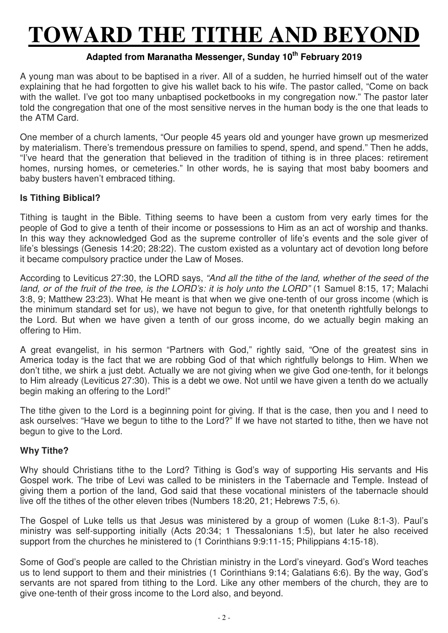# **TOWARD THE TITHE AND BEYOND**

# **Adapted from Maranatha Messenger, Sunday 10th February 2019**

A young man was about to be baptised in a river. All of a sudden, he hurried himself out of the water explaining that he had forgotten to give his wallet back to his wife. The pastor called, "Come on back with the wallet. I've got too many unbaptised pocketbooks in my congregation now." The pastor later told the congregation that one of the most sensitive nerves in the human body is the one that leads to the ATM Card.

One member of a church laments, "Our people 45 years old and younger have grown up mesmerized by materialism. There's tremendous pressure on families to spend, spend, and spend." Then he adds, "I've heard that the generation that believed in the tradition of tithing is in three places: retirement homes, nursing homes, or cemeteries." In other words, he is saying that most baby boomers and baby busters haven't embraced tithing.

### **Is Tithing Biblical?**

Tithing is taught in the Bible. Tithing seems to have been a custom from very early times for the people of God to give a tenth of their income or possessions to Him as an act of worship and thanks. In this way they acknowledged God as the supreme controller of life's events and the sole giver of life's blessings (Genesis 14:20; 28:22). The custom existed as a voluntary act of devotion long before it became compulsory practice under the Law of Moses.

According to Leviticus 27:30, the LORD says, *"And all the tithe of the land, whether of the seed of the land, or of the fruit of the tree, is the LORD's: it is holy unto the LORD"* (1 Samuel 8:15, 17; Malachi 3:8, 9; Matthew 23:23). What He meant is that when we give one-tenth of our gross income (which is the minimum standard set for us), we have not begun to give, for that onetenth rightfully belongs to the Lord. But when we have given a tenth of our gross income, do we actually begin making an offering to Him.

A great evangelist, in his sermon "Partners with God," rightly said, "One of the greatest sins in America today is the fact that we are robbing God of that which rightfully belongs to Him. When we don't tithe, we shirk a just debt. Actually we are not giving when we give God one-tenth, for it belongs to Him already (Leviticus 27:30). This is a debt we owe. Not until we have given a tenth do we actually begin making an offering to the Lord!"

The tithe given to the Lord is a beginning point for giving. If that is the case, then you and I need to ask ourselves: "Have we begun to tithe to the Lord?" If we have not started to tithe, then we have not begun to give to the Lord.

### **Why Tithe?**

Why should Christians tithe to the Lord? Tithing is God's way of supporting His servants and His Gospel work. The tribe of Levi was called to be ministers in the Tabernacle and Temple. Instead of giving them a portion of the land, God said that these vocational ministers of the tabernacle should live off the tithes of the other eleven tribes (Numbers 18:20, 21; Hebrews 7:5, 6).

The Gospel of Luke tells us that Jesus was ministered by a group of women (Luke 8:1-3). Paul's ministry was self-supporting initially (Acts 20:34; 1 Thessalonians 1:5), but later he also received support from the churches he ministered to (1 Corinthians 9:9:11-15; Philippians 4:15-18).

Some of God's people are called to the Christian ministry in the Lord's vineyard. God's Word teaches us to lend support to them and their ministries (1 Corinthians 9:14; Galatians 6:6). By the way, God's servants are not spared from tithing to the Lord. Like any other members of the church, they are to give one-tenth of their gross income to the Lord also, and beyond.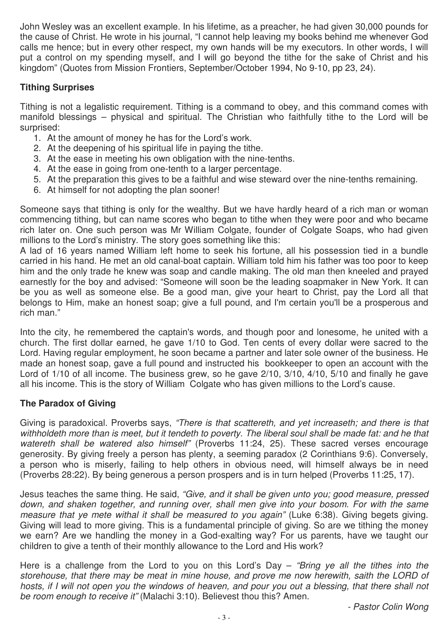John Wesley was an excellent example. In his lifetime, as a preacher, he had given 30,000 pounds for the cause of Christ. He wrote in his journal, "I cannot help leaving my books behind me whenever God calls me hence; but in every other respect, my own hands will be my executors. In other words, I will put a control on my spending myself, and I will go beyond the tithe for the sake of Christ and his kingdom" (Quotes from Mission Frontiers, September/October 1994, No 9-10, pp 23, 24).

## **Tithing Surprises**

Tithing is not a legalistic requirement. Tithing is a command to obey, and this command comes with manifold blessings – physical and spiritual. The Christian who faithfully tithe to the Lord will be surprised:

- 1. At the amount of money he has for the Lord's work.
- 2. At the deepening of his spiritual life in paying the tithe.
- 3. At the ease in meeting his own obligation with the nine-tenths.
- 4. At the ease in going from one-tenth to a larger percentage.
- 5. At the preparation this gives to be a faithful and wise steward over the nine-tenths remaining.
- 6. At himself for not adopting the plan sooner!

Someone says that tithing is only for the wealthy. But we have hardly heard of a rich man or woman commencing tithing, but can name scores who began to tithe when they were poor and who became rich later on. One such person was Mr William Colgate, founder of Colgate Soaps, who had given millions to the Lord's ministry. The story goes something like this:

A lad of 16 years named William left home to seek his fortune, all his possession tied in a bundle carried in his hand. He met an old canal-boat captain. William told him his father was too poor to keep him and the only trade he knew was soap and candle making. The old man then kneeled and prayed earnestly for the boy and advised: "Someone will soon be the leading soapmaker in New York. It can be you as well as someone else. Be a good man, give your heart to Christ, pay the Lord all that belongs to Him, make an honest soap; give a full pound, and I'm certain you'll be a prosperous and rich man."

Into the city, he remembered the captain's words, and though poor and lonesome, he united with a church. The first dollar earned, he gave 1/10 to God. Ten cents of every dollar were sacred to the Lord. Having regular employment, he soon became a partner and later sole owner of the business. He made an honest soap, gave a full pound and instructed his bookkeeper to open an account with the Lord of 1/10 of all income. The business grew, so he gave 2/10, 3/10, 4/10, 5/10 and finally he gave all his income. This is the story of William Colgate who has given millions to the Lord's cause.

### **The Paradox of Giving**

Giving is paradoxical. Proverbs says, *"There is that scattereth, and yet increaseth; and there is that withholdeth more than is meet, but it tendeth to poverty. The liberal soul shall be made fat: and he that watereth shall be watered also himself"* (Proverbs 11:24, 25). These sacred verses encourage generosity. By giving freely a person has plenty, a seeming paradox (2 Corinthians 9:6). Conversely, a person who is miserly, failing to help others in obvious need, will himself always be in need (Proverbs 28:22). By being generous a person prospers and is in turn helped (Proverbs 11:25, 17).

Jesus teaches the same thing. He said, *"Give, and it shall be given unto you; good measure, pressed down, and shaken together, and running over, shall men give into your bosom. For with the same measure that ye mete withal it shall be measured to you again"* (Luke 6:38). Giving begets giving. Giving will lead to more giving. This is a fundamental principle of giving. So are we tithing the money we earn? Are we handling the money in a God-exalting way? For us parents, have we taught our children to give a tenth of their monthly allowance to the Lord and His work?

Here is a challenge from the Lord to you on this Lord's Day – *"Bring ye all the tithes into the storehouse, that there may be meat in mine house, and prove me now herewith, saith the LORD of hosts, if I will not open you the windows of heaven, and pour you out a blessing, that there shall not be room enough to receive it"* (Malachi 3:10). Believest thou this? Amen.